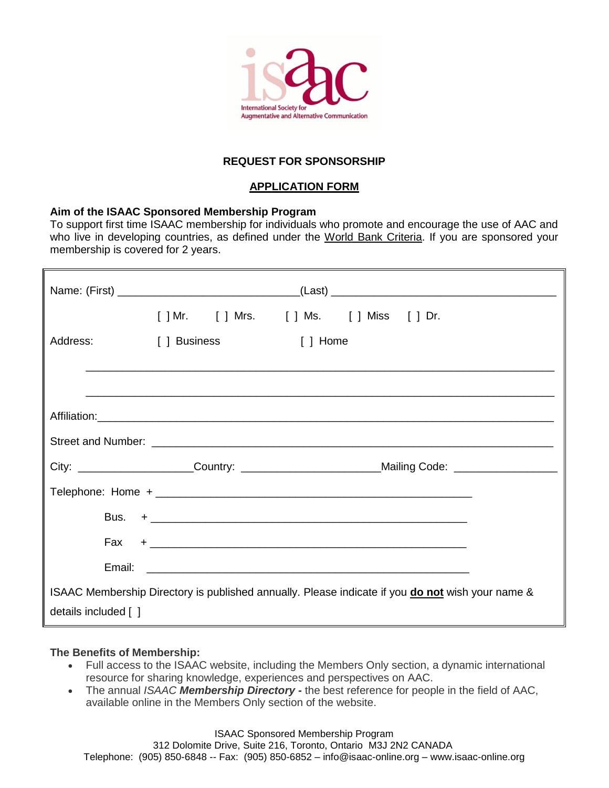

# **REQUEST FOR SPONSORSHIP**

## **APPLICATION FORM**

#### **Aim of the ISAAC Sponsored Membership Program**

To support first time ISAAC membership for individuals who promote and encourage the use of AAC and who live in developing countries, as defined under the World Bank Criteria. If you are sponsored your membership is covered for 2 years.

| Address:                                                                                         | [ ] Business | [ ] Home |                                                                                                      |  |
|--------------------------------------------------------------------------------------------------|--------------|----------|------------------------------------------------------------------------------------------------------|--|
|                                                                                                  |              |          |                                                                                                      |  |
|                                                                                                  |              |          |                                                                                                      |  |
|                                                                                                  |              |          |                                                                                                      |  |
|                                                                                                  |              |          |                                                                                                      |  |
|                                                                                                  |              |          | City: ________________________Country: ______________________________Mailing Code: _________________ |  |
|                                                                                                  |              |          |                                                                                                      |  |
|                                                                                                  |              |          |                                                                                                      |  |
|                                                                                                  |              |          |                                                                                                      |  |
|                                                                                                  |              |          |                                                                                                      |  |
| ISAAC Membership Directory is published annually. Please indicate if you do not wish your name & |              |          |                                                                                                      |  |
| details included [ ]                                                                             |              |          |                                                                                                      |  |

### **The Benefits of Membership:**

- Full access to the ISAAC website, including the Members Only section, a dynamic international resource for sharing knowledge, experiences and perspectives on AAC.
- The annual *ISAAC Membership Directory -* the best reference for people in the field of AAC, available online in the Members Only section of the website.